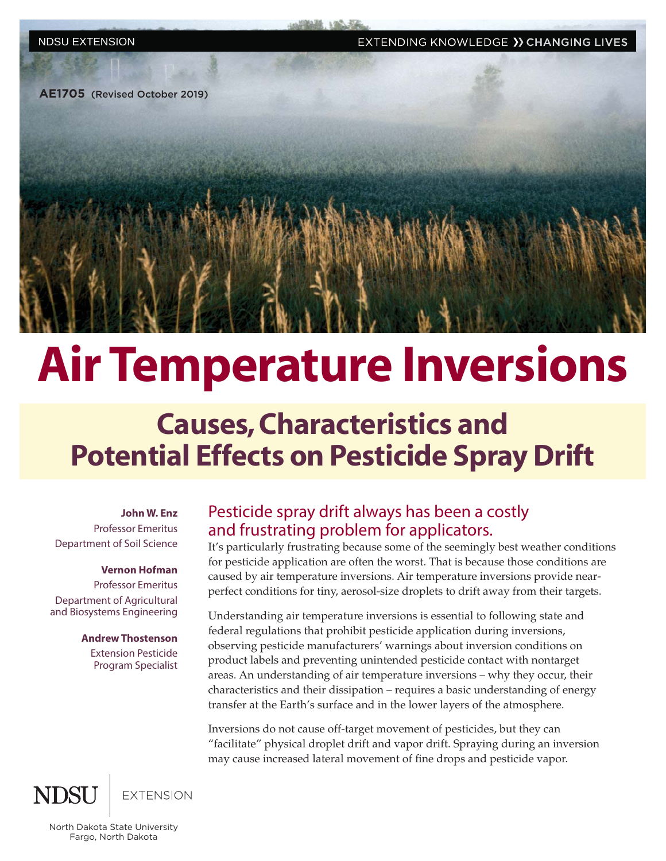EXTENDING KNOWLEDGE >> CHANGING LIVES

**AE1705** (Revised October 2019)



# Air Temperature Inversions

## Causes, Characteristics and Potential Effects on Pesticide Spray Drift

**John W. Enz** Professor Emeritus Department of Soil Science

#### **Vernon Hofman**

Professor Emeritus Department of Agricultural and Biosystems Engineering

#### **Andrew Thostenson**

Extension Pesticide Program Specialist

### Pesticide spray drift always has been a costly and frustrating problem for applicators.

It's particularly frustrating because some of the seemingly best weather conditions for pesticide application are often the worst. That is because those conditions are caused by air temperature inversions. Air temperature inversions provide nearperfect conditions for tiny, aerosol-size droplets to drift away from their targets.

Understanding air temperature inversions is essential to following state and federal regulations that prohibit pesticide application during inversions, observing pesticide manufacturers' warnings about inversion conditions on product labels and preventing unintended pesticide contact with nontarget areas. An understanding of air temperature inversions – why they occur, their characteristics and their dissipation – requires a basic understanding of energy transfer at the Earth's surface and in the lower layers of the atmosphere.

Inversions do not cause off-target movement of pesticides, but they can "facilitate" physical droplet drift and vapor drift. Spraying during an inversion may cause increased lateral movement of fine drops and pesticide vapor.

**EXTENSION** 

North Dakota State University Fargo, North Dakota

NDSU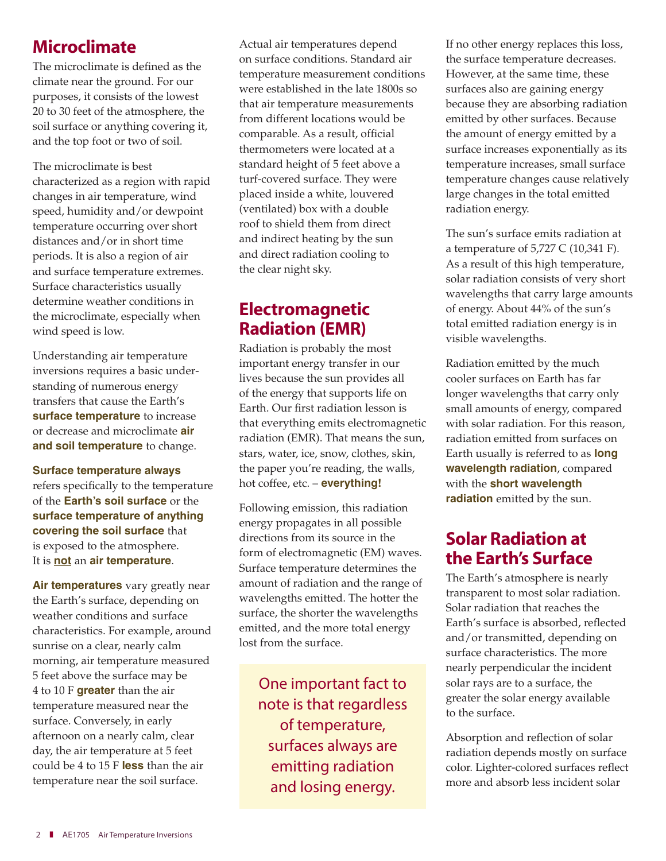### **Microclimate**

The microclimate is defined as the climate near the ground. For our purposes, it consists of the lowest 20 to 30 feet of the atmosphere, the soil surface or anything covering it, and the top foot or two of soil.

The microclimate is best characterized as a region with rapid changes in air temperature, wind speed, humidity and/or dewpoint temperature occurring over short distances and/or in short time periods. It is also a region of air and surface temperature extremes. Surface characteristics usually determine weather conditions in the microclimate, especially when wind speed is low.

Understanding air temperature inversions requires a basic understanding of numerous energy transfers that cause the Earth's **surface temperature** to increase or decrease and microclimate **air and soil temperature** to change.

#### **Surface temperature always**

refers specifically to the temperature of the **Earth's soil surface** or the **surface temperature of anything covering the soil surface** that is exposed to the atmosphere. It is **not** an **air temperature**.

**Air temperatures** vary greatly near the Earth's surface, depending on weather conditions and surface characteristics. For example, around sunrise on a clear, nearly calm morning, air temperature measured 5 feet above the surface may be 4 to 10 F **greater** than the air temperature measured near the surface. Conversely, in early afternoon on a nearly calm, clear day, the air temperature at 5 feet could be 4 to 15 F **less** than the air temperature near the soil surface.

Actual air temperatures depend on surface conditions. Standard air temperature measurement conditions were established in the late 1800s so that air temperature measurements from different locations would be comparable. As a result, official thermometers were located at a standard height of 5 feet above a turf-covered surface. They were placed inside a white, louvered (ventilated) box with a double roof to shield them from direct and indirect heating by the sun and direct radiation cooling to the clear night sky.

### Electromagnetic Radiation (EMR)

Radiation is probably the most important energy transfer in our lives because the sun provides all of the energy that supports life on Earth. Our first radiation lesson is that everything emits electromagnetic radiation (EMR). That means the sun, stars, water, ice, snow, clothes, skin, the paper you're reading, the walls, hot coffee, etc. – **everything!**

Following emission, this radiation energy propagates in all possible directions from its source in the form of electromagnetic (EM) waves. Surface temperature determines the amount of radiation and the range of wavelengths emitted. The hotter the surface, the shorter the wavelengths emitted, and the more total energy lost from the surface.

One important fact to note is that regardless of temperature, surfaces always are emitting radiation and losing energy.

If no other energy replaces this loss, the surface temperature decreases. However, at the same time, these surfaces also are gaining energy because they are absorbing radiation emitted by other surfaces. Because the amount of energy emitted by a surface increases exponentially as its temperature increases, small surface temperature changes cause relatively large changes in the total emitted radiation energy.

The sun's surface emits radiation at a temperature of 5,727 C (10,341 F). As a result of this high temperature, solar radiation consists of very short wavelengths that carry large amounts of energy. About 44% of the sun's total emitted radiation energy is in visible wavelengths.

Radiation emitted by the much cooler surfaces on Earth has far longer wavelengths that carry only small amounts of energy, compared with solar radiation. For this reason, radiation emitted from surfaces on Earth usually is referred to as **long wavelength radiation**, compared with the **short wavelength radiation** emitted by the sun.

### Solar Radiation at the Earth's Surface

The Earth's atmosphere is nearly transparent to most solar radiation. Solar radiation that reaches the Earth's surface is absorbed, reflected and/or transmitted, depending on surface characteristics. The more nearly perpendicular the incident solar rays are to a surface, the greater the solar energy available to the surface.

Absorption and reflection of solar radiation depends mostly on surface color. Lighter-colored surfaces reflect more and absorb less incident solar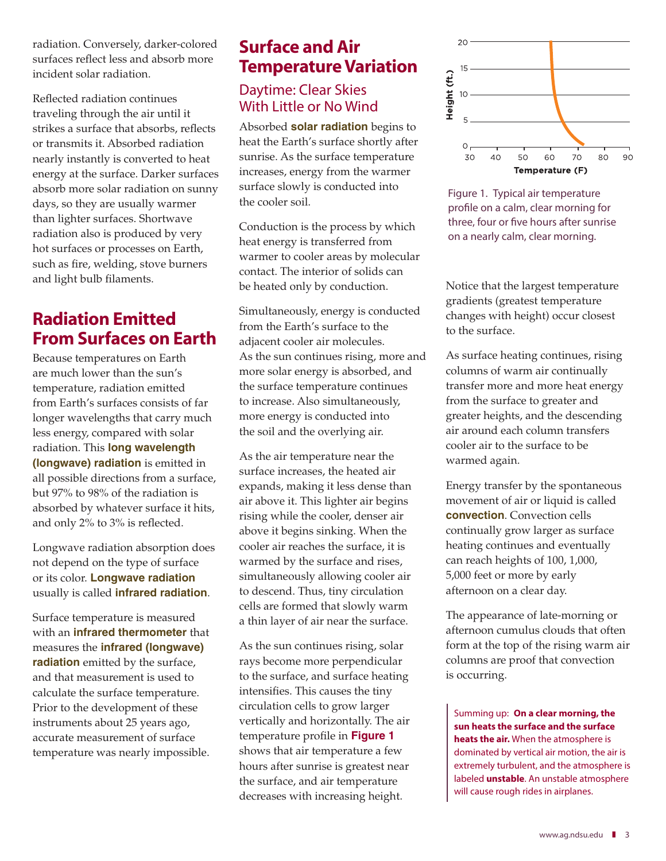radiation. Conversely, darker-colored surfaces reflect less and absorb more incident solar radiation.

Reflected radiation continues traveling through the air until it strikes a surface that absorbs, reflects or transmits it. Absorbed radiation nearly instantly is converted to heat energy at the surface. Darker surfaces absorb more solar radiation on sunny days, so they are usually warmer than lighter surfaces. Shortwave radiation also is produced by very hot surfaces or processes on Earth, such as fire, welding, stove burners and light bulb filaments.

### Radiation Emitted From Surfaces on Earth

Because temperatures on Earth are much lower than the sun's temperature, radiation emitted from Earth's surfaces consists of far longer wavelengths that carry much less energy, compared with solar radiation. This **long wavelength (longwave) radiation** is emitted in all possible directions from a surface, but 97% to 98% of the radiation is absorbed by whatever surface it hits, and only 2% to 3% is reflected.

Longwave radiation absorption does not depend on the type of surface or its color. **Longwave radiation**  usually is called **infrared radiation**.

Surface temperature is measured with an **infrared thermometer** that measures the **infrared (longwave) radiation** emitted by the surface, and that measurement is used to calculate the surface temperature. Prior to the development of these instruments about 25 years ago, accurate measurement of surface temperature was nearly impossible.

### Surface and Air Temperature Variation

### Daytime: Clear Skies With Little or No Wind

Absorbed **solar radiation** begins to heat the Earth's surface shortly after sunrise. As the surface temperature increases, energy from the warmer surface slowly is conducted into the cooler soil.

Conduction is the process by which heat energy is transferred from warmer to cooler areas by molecular contact. The interior of solids can be heated only by conduction.

Simultaneously, energy is conducted from the Earth's surface to the adjacent cooler air molecules. As the sun continues rising, more and more solar energy is absorbed, and the surface temperature continues to increase. Also simultaneously, more energy is conducted into the soil and the overlying air.

As the air temperature near the surface increases, the heated air expands, making it less dense than air above it. This lighter air begins rising while the cooler, denser air above it begins sinking. When the cooler air reaches the surface, it is warmed by the surface and rises, simultaneously allowing cooler air to descend. Thus, tiny circulation cells are formed that slowly warm a thin layer of air near the surface.

As the sun continues rising, solar rays become more perpendicular to the surface, and surface heating intensifies. This causes the tiny circulation cells to grow larger vertically and horizontally. The air temperature profile in **Figure 1**  shows that air temperature a few hours after sunrise is greatest near the surface, and air temperature decreases with increasing height.



Figure 1. Typical air temperature profile on a calm, clear morning for three, four or five hours after sunrise on a nearly calm, clear morning.

Notice that the largest temperature gradients (greatest temperature changes with height) occur closest to the surface.

As surface heating continues, rising columns of warm air continually transfer more and more heat energy from the surface to greater and greater heights, and the descending air around each column transfers cooler air to the surface to be warmed again.

Energy transfer by the spontaneous movement of air or liquid is called **convection**. Convection cells continually grow larger as surface heating continues and eventually can reach heights of 100, 1,000, 5,000 feet or more by early afternoon on a clear day.

The appearance of late-morning or afternoon cumulus clouds that often form at the top of the rising warm air columns are proof that convection is occurring.

Summing up: **On a clear morning, the sun heats the surface and the surface heats the air.** When the atmosphere is dominated by vertical air motion, the air is extremely turbulent, and the atmosphere is labeled **unstable**. An unstable atmosphere will cause rough rides in airplanes.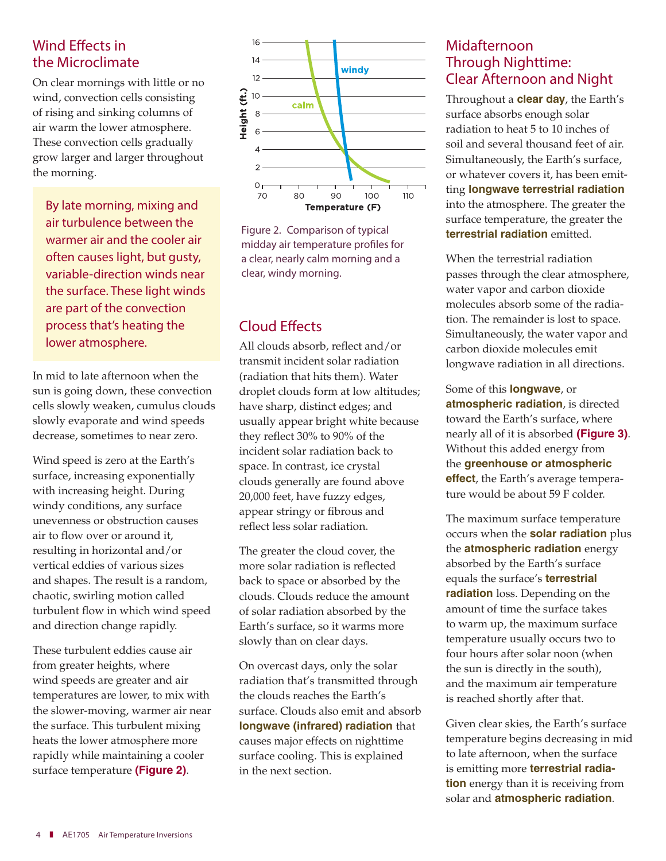### Wind Effects in the Microclimate

On clear mornings with little or no wind, convection cells consisting of rising and sinking columns of air warm the lower atmosphere. These convection cells gradually grow larger and larger throughout the morning.

By late morning, mixing and air turbulence between the warmer air and the cooler air often causes light, but gusty, variable-direction winds near the surface. These light winds are part of the convection process that's heating the lower atmosphere.

In mid to late afternoon when the sun is going down, these convection cells slowly weaken, cumulus clouds slowly evaporate and wind speeds decrease, sometimes to near zero.

Wind speed is zero at the Earth's surface, increasing exponentially with increasing height. During windy conditions, any surface unevenness or obstruction causes air to flow over or around it, resulting in horizontal and/or vertical eddies of various sizes and shapes. The result is a random, chaotic, swirling motion called turbulent flow in which wind speed and direction change rapidly.

These turbulent eddies cause air from greater heights, where wind speeds are greater and air temperatures are lower, to mix with the slower-moving, warmer air near the surface. This turbulent mixing heats the lower atmosphere more rapidly while maintaining a cooler surface temperature **(Figure 2)**.



Figure 2. Comparison of typical midday air temperature profiles for a clear, nearly calm morning and a clear, windy morning.

### Cloud Effects

All clouds absorb, reflect and/or transmit incident solar radiation (radiation that hits them). Water droplet clouds form at low altitudes; have sharp, distinct edges; and usually appear bright white because they reflect 30% to 90% of the incident solar radiation back to space. In contrast, ice crystal clouds generally are found above 20,000 feet, have fuzzy edges, appear stringy or fibrous and reflect less solar radiation.

The greater the cloud cover, the more solar radiation is reflected back to space or absorbed by the clouds. Clouds reduce the amount of solar radiation absorbed by the Earth's surface, so it warms more slowly than on clear days.

On overcast days, only the solar radiation that's transmitted through the clouds reaches the Earth's surface. Clouds also emit and absorb **longwave (infrared) radiation** that causes major effects on nighttime surface cooling. This is explained in the next section.

#### Midafternoon Through Nighttime: Clear Afternoon and Night

Throughout a **clear day**, the Earth's surface absorbs enough solar radiation to heat 5 to 10 inches of soil and several thousand feet of air. Simultaneously, the Earth's surface, or whatever covers it, has been emitting **longwave terrestrial radiation**  into the atmosphere. The greater the surface temperature, the greater the **terrestrial radiation** emitted.

When the terrestrial radiation passes through the clear atmosphere, water vapor and carbon dioxide molecules absorb some of the radiation. The remainder is lost to space. Simultaneously, the water vapor and carbon dioxide molecules emit longwave radiation in all directions.

Some of this **longwave**, or **atmospheric radiation**, is directed toward the Earth's surface, where nearly all of it is absorbed **(Figure 3)**. Without this added energy from the **greenhouse or atmospheric effect**, the Earth's average temperature would be about 59 F colder.

The maximum surface temperature occurs when the **solar radiation** plus the **atmospheric radiation** energy absorbed by the Earth's surface equals the surface's **terrestrial radiation** loss. Depending on the amount of time the surface takes to warm up, the maximum surface temperature usually occurs two to four hours after solar noon (when the sun is directly in the south), and the maximum air temperature is reached shortly after that.

Given clear skies, the Earth's surface temperature begins decreasing in mid to late afternoon, when the surface is emitting more **terrestrial radiation** energy than it is receiving from solar and **atmospheric radiation**.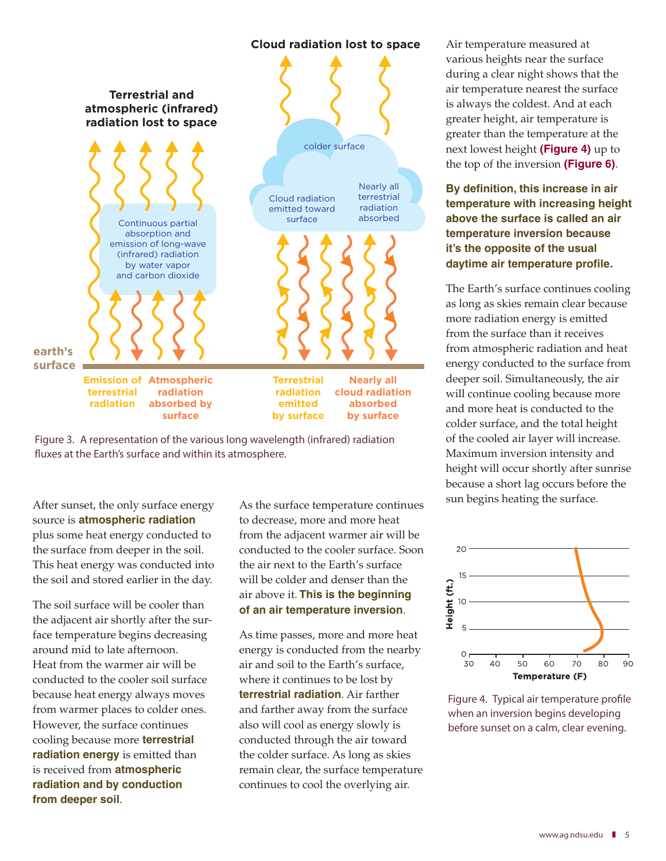#### **Cloud radiation lost to space**





After sunset, the only surface energy source is **atmospheric radiation**  plus some heat energy conducted to the surface from deeper in the soil. This heat energy was conducted into the soil and stored earlier in the day.

The soil surface will be cooler than the adjacent air shortly after the surface temperature begins decreasing around mid to late afternoon. Heat from the warmer air will be conducted to the cooler soil surface because heat energy always moves from warmer places to colder ones. However, the surface continues cooling because more **terrestrial radiation energy** is emitted than is received from **atmospheric radiation and by conduction from deeper soil**.

As the surface temperature continues to decrease, more and more heat from the adjacent warmer air will be conducted to the cooler surface. Soon the air next to the Earth's surface will be colder and denser than the air above it. **This is the beginning of an air temperature inversion**.

As time passes, more and more heat energy is conducted from the nearby air and soil to the Earth's surface, where it continues to be lost by **terrestrial radiation**. Air farther and farther away from the surface also will cool as energy slowly is conducted through the air toward the colder surface. As long as skies remain clear, the surface temperature continues to cool the overlying air.

Air temperature measured at various heights near the surface during a clear night shows that the air temperature nearest the surface is always the coldest. And at each greater height, air temperature is greater than the temperature at the next lowest height **(Figure 4)** up to the top of the inversion **(Figure 6)**.

#### **By definition, this increase in air temperature with increasing height above the surface is called an air temperature inversion because it's the opposite of the usual daytime air temperature profile.**

The Earth's surface continues cooling as long as skies remain clear because more radiation energy is emitted from the surface than it receives from atmospheric radiation and heat energy conducted to the surface from deeper soil. Simultaneously, the air will continue cooling because more and more heat is conducted to the colder surface, and the total height of the cooled air layer will increase. Maximum inversion intensity and height will occur shortly after sunrise because a short lag occurs before the sun begins heating the surface.



Figure 4. Typical air temperature profile when an inversion begins developing before sunset on a calm, clear evening.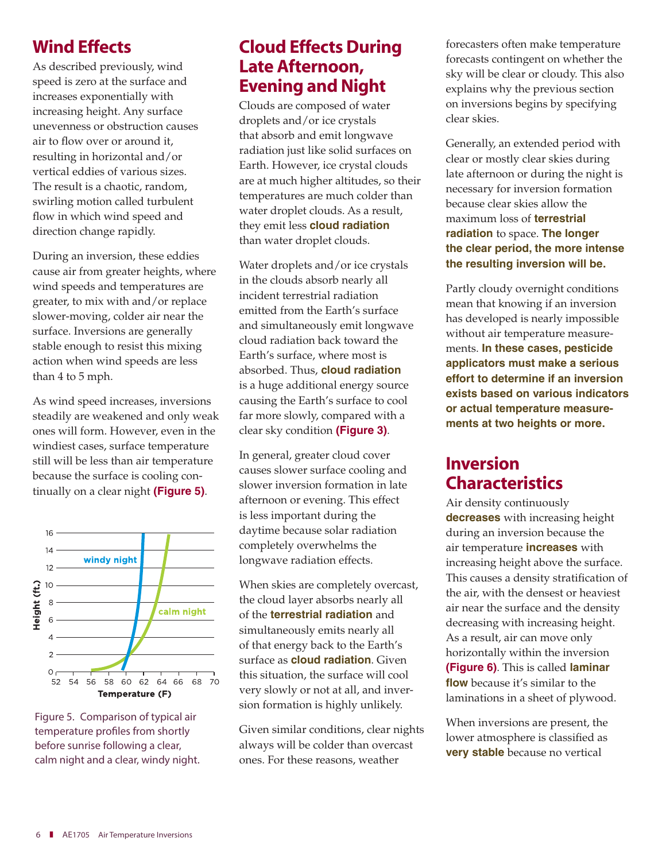### Wind Effects

As described previously, wind speed is zero at the surface and increases exponentially with increasing height. Any surface unevenness or obstruction causes air to flow over or around it, resulting in horizontal and/or vertical eddies of various sizes. The result is a chaotic, random, swirling motion called turbulent flow in which wind speed and direction change rapidly.

During an inversion, these eddies cause air from greater heights, where wind speeds and temperatures are greater, to mix with and/or replace slower-moving, colder air near the surface. Inversions are generally stable enough to resist this mixing action when wind speeds are less than 4 to 5 mph.

As wind speed increases, inversions steadily are weakened and only weak ones will form. However, even in the windiest cases, surface temperature still will be less than air temperature because the surface is cooling continually on a clear night **(Figure 5)**.



Figure 5. Comparison of typical air temperature profiles from shortly before sunrise following a clear, calm night and a clear, windy night.

### Cloud Effects During Late Afternoon, Evening and Night

Clouds are composed of water droplets and/or ice crystals that absorb and emit longwave radiation just like solid surfaces on Earth. However, ice crystal clouds are at much higher altitudes, so their temperatures are much colder than water droplet clouds. As a result, they emit less **cloud radiation**  than water droplet clouds.

Water droplets and/or ice crystals in the clouds absorb nearly all incident terrestrial radiation emitted from the Earth's surface and simultaneously emit longwave cloud radiation back toward the Earth's surface, where most is absorbed. Thus, **cloud radiation**  is a huge additional energy source causing the Earth's surface to cool far more slowly, compared with a clear sky condition **(Figure 3)**.

In general, greater cloud cover causes slower surface cooling and slower inversion formation in late afternoon or evening. This effect is less important during the daytime because solar radiation completely overwhelms the longwave radiation effects.

When skies are completely overcast, the cloud layer absorbs nearly all of the **terrestrial radiation** and simultaneously emits nearly all of that energy back to the Earth's surface as **cloud radiation**. Given this situation, the surface will cool very slowly or not at all, and inversion formation is highly unlikely.

Given similar conditions, clear nights always will be colder than overcast ones. For these reasons, weather

forecasters often make temperature forecasts contingent on whether the sky will be clear or cloudy. This also explains why the previous section on inversions begins by specifying clear skies.

Generally, an extended period with clear or mostly clear skies during late afternoon or during the night is necessary for inversion formation because clear skies allow the maximum loss of **terrestrial radiation** to space. **The longer the clear period, the more intense the resulting inversion will be.**

Partly cloudy overnight conditions mean that knowing if an inversion has developed is nearly impossible without air temperature measurements. **In these cases, pesticide applicators must make a serious effort to determine if an inversion exists based on various indicators or actual temperature measurements at two heights or more.** 

### Inversion Characteristics

Air density continuously **decreases** with increasing height during an inversion because the air temperature **increases** with increasing height above the surface. This causes a density stratification of the air, with the densest or heaviest air near the surface and the density decreasing with increasing height. As a result, air can move only horizontally within the inversion **(Figure 6)**. This is called **laminar flow** because it's similar to the laminations in a sheet of plywood.

When inversions are present, the lower atmosphere is classified as **very stable** because no vertical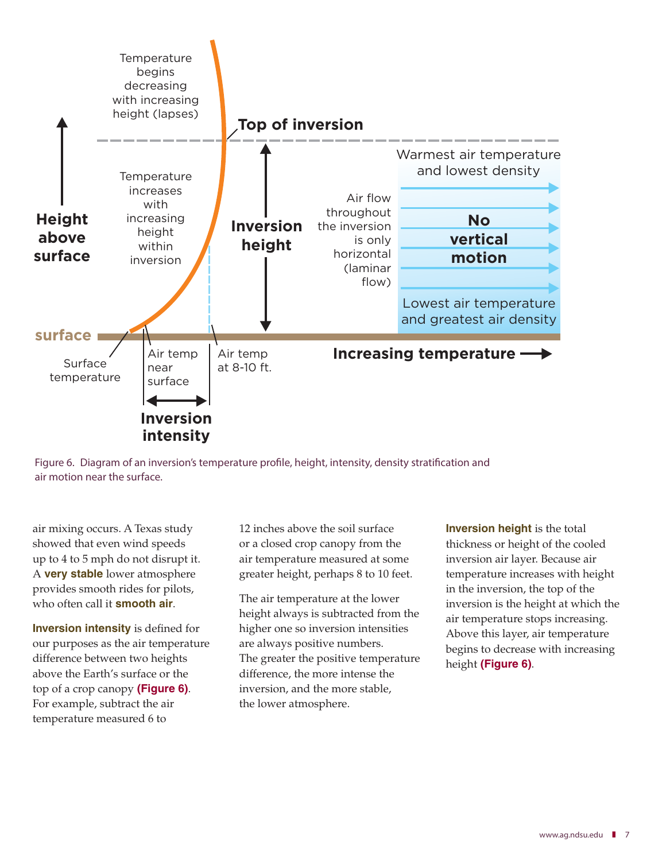



air mixing occurs. A Texas study showed that even wind speeds up to 4 to 5 mph do not disrupt it. A **very stable** lower atmosphere provides smooth rides for pilots, who often call it **smooth air**.

**Inversion intensity** is defined for our purposes as the air temperature difference between two heights above the Earth's surface or the top of a crop canopy **(Figure 6)**. For example, subtract the air temperature measured 6 to

12 inches above the soil surface or a closed crop canopy from the air temperature measured at some greater height, perhaps 8 to 10 feet.

The air temperature at the lower height always is subtracted from the higher one so inversion intensities are always positive numbers. The greater the positive temperature difference, the more intense the inversion, and the more stable, the lower atmosphere.

**Inversion height** is the total thickness or height of the cooled inversion air layer. Because air temperature increases with height in the inversion, the top of the inversion is the height at which the air temperature stops increasing. Above this layer, air temperature begins to decrease with increasing height **(Figure 6)**.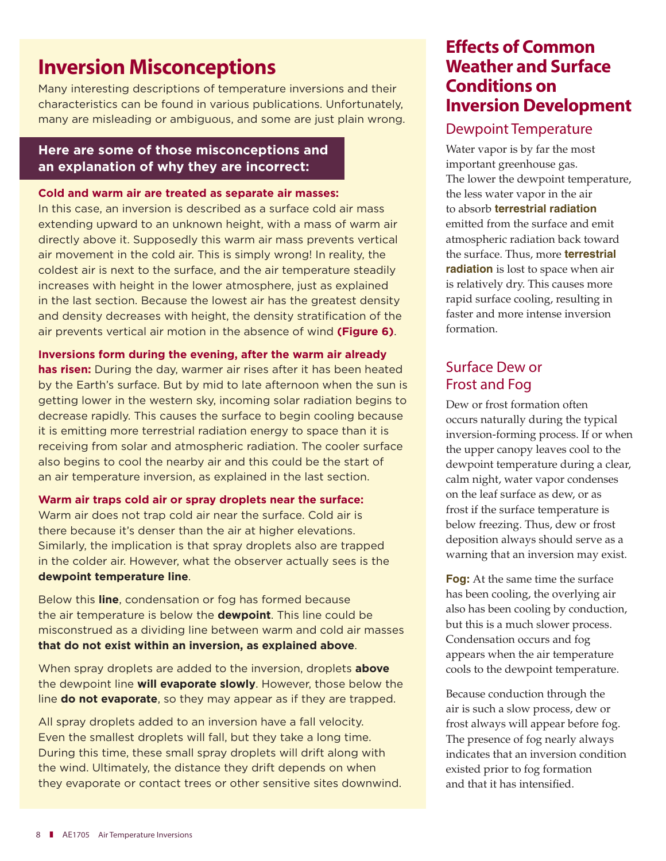### Inversion Misconceptions

Many interesting descriptions of temperature inversions and their characteristics can be found in various publications. Unfortunately, many are misleading or ambiguous, and some are just plain wrong.

#### **Here are some of those misconceptions and an explanation of why they are incorrect:**

#### **Cold and warm air are treated as separate air masses:**

In this case, an inversion is described as a surface cold air mass extending upward to an unknown height, with a mass of warm air directly above it. Supposedly this warm air mass prevents vertical air movement in the cold air. This is simply wrong! In reality, the coldest air is next to the surface, and the air temperature steadily increases with height in the lower atmosphere, just as explained in the last section. Because the lowest air has the greatest density and density decreases with height, the density stratification of the air prevents vertical air motion in the absence of wind **(Figure 6)**.

#### **Inversions form during the evening, after the warm air already**

**has risen:** During the day, warmer air rises after it has been heated by the Earth's surface. But by mid to late afternoon when the sun is getting lower in the western sky, incoming solar radiation begins to decrease rapidly. This causes the surface to begin cooling because it is emitting more terrestrial radiation energy to space than it is receiving from solar and atmospheric radiation. The cooler surface also begins to cool the nearby air and this could be the start of an air temperature inversion, as explained in the last section.

#### **Warm air traps cold air or spray droplets near the surface:**

Warm air does not trap cold air near the surface. Cold air is there because it's denser than the air at higher elevations. Similarly, the implication is that spray droplets also are trapped in the colder air. However, what the observer actually sees is the **dewpoint temperature line**.

Below this **line**, condensation or fog has formed because the air temperature is below the **dewpoint**. This line could be misconstrued as a dividing line between warm and cold air masses **that do not exist within an inversion, as explained above**.

When spray droplets are added to the inversion, droplets **above**  the dewpoint line **will evaporate slowly**. However, those below the line **do not evaporate**, so they may appear as if they are trapped.

All spray droplets added to an inversion have a fall velocity. Even the smallest droplets will fall, but they take a long time. During this time, these small spray droplets will drift along with the wind. Ultimately, the distance they drift depends on when they evaporate or contact trees or other sensitive sites downwind.

### Effects of Common Weather and Surface Conditions on Inversion Development

#### Dewpoint Temperature

Water vapor is by far the most important greenhouse gas. The lower the dewpoint temperature, the less water vapor in the air to absorb **terrestrial radiation**  emitted from the surface and emit atmospheric radiation back toward the surface. Thus, more **terrestrial radiation** is lost to space when air is relatively dry. This causes more rapid surface cooling, resulting in faster and more intense inversion formation.

### Surface Dew or Frost and Fog

Dew or frost formation often occurs naturally during the typical inversion-forming process. If or when the upper canopy leaves cool to the dewpoint temperature during a clear, calm night, water vapor condenses on the leaf surface as dew, or as frost if the surface temperature is below freezing. Thus, dew or frost deposition always should serve as a warning that an inversion may exist.

**Fog:** At the same time the surface has been cooling, the overlying air also has been cooling by conduction, but this is a much slower process. Condensation occurs and fog appears when the air temperature cools to the dewpoint temperature.

Because conduction through the air is such a slow process, dew or frost always will appear before fog. The presence of fog nearly always indicates that an inversion condition existed prior to fog formation and that it has intensified.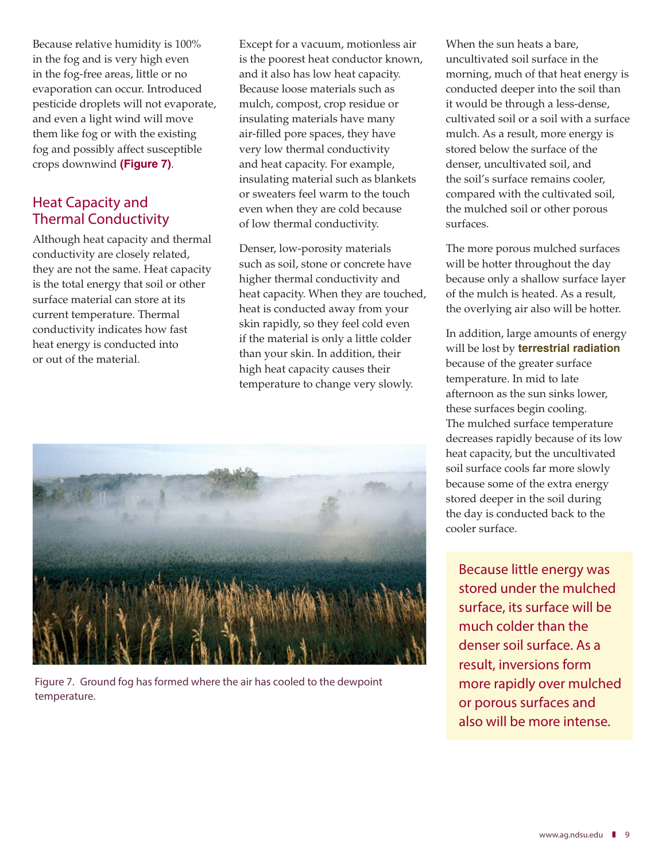Because relative humidity is 100% in the fog and is very high even in the fog-free areas, little or no evaporation can occur. Introduced pesticide droplets will not evaporate, and even a light wind will move them like fog or with the existing fog and possibly affect susceptible crops downwind **(Figure 7)**.

### Heat Capacity and Thermal Conductivity

Although heat capacity and thermal conductivity are closely related, they are not the same. Heat capacity is the total energy that soil or other surface material can store at its current temperature. Thermal conductivity indicates how fast heat energy is conducted into or out of the material.

Except for a vacuum, motionless air is the poorest heat conductor known, and it also has low heat capacity. Because loose materials such as mulch, compost, crop residue or insulating materials have many air-filled pore spaces, they have very low thermal conductivity and heat capacity. For example, insulating material such as blankets or sweaters feel warm to the touch even when they are cold because of low thermal conductivity.

Denser, low-porosity materials such as soil, stone or concrete have higher thermal conductivity and heat capacity. When they are touched, heat is conducted away from your skin rapidly, so they feel cold even if the material is only a little colder than your skin. In addition, their high heat capacity causes their temperature to change very slowly.



Figure 7. Ground fog has formed where the air has cooled to the dewpoint temperature.

When the sun heats a bare, uncultivated soil surface in the morning, much of that heat energy is conducted deeper into the soil than it would be through a less-dense, cultivated soil or a soil with a surface mulch. As a result, more energy is stored below the surface of the denser, uncultivated soil, and the soil's surface remains cooler, compared with the cultivated soil, the mulched soil or other porous surfaces.

The more porous mulched surfaces will be hotter throughout the day because only a shallow surface layer of the mulch is heated. As a result, the overlying air also will be hotter.

In addition, large amounts of energy will be lost by **terrestrial radiation**  because of the greater surface temperature. In mid to late afternoon as the sun sinks lower, these surfaces begin cooling. The mulched surface temperature decreases rapidly because of its low heat capacity, but the uncultivated soil surface cools far more slowly because some of the extra energy stored deeper in the soil during the day is conducted back to the cooler surface.

Because little energy was stored under the mulched surface, its surface will be much colder than the denser soil surface. As a result, inversions form more rapidly over mulched or porous surfaces and also will be more intense.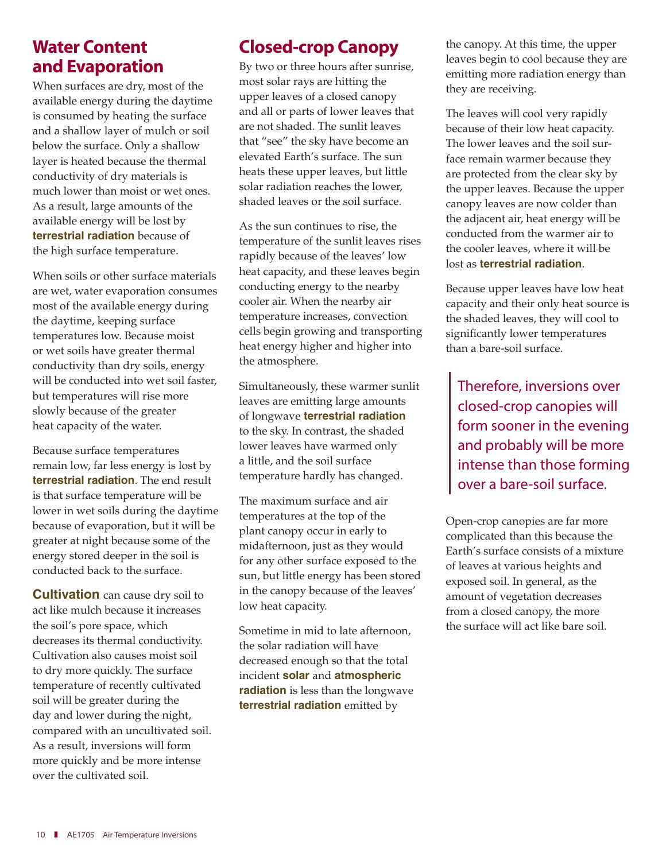### Water Content and Evaporation

When surfaces are dry, most of the available energy during the daytime is consumed by heating the surface and a shallow layer of mulch or soil below the surface. Only a shallow layer is heated because the thermal conductivity of dry materials is much lower than moist or wet ones. As a result, large amounts of the available energy will be lost by **terrestrial radiation** because of the high surface temperature.

When soils or other surface materials are wet, water evaporation consumes most of the available energy during the daytime, keeping surface temperatures low. Because moist or wet soils have greater thermal conductivity than dry soils, energy will be conducted into wet soil faster, but temperatures will rise more slowly because of the greater heat capacity of the water.

Because surface temperatures remain low, far less energy is lost by **terrestrial radiation**. The end result is that surface temperature will be lower in wet soils during the daytime because of evaporation, but it will be greater at night because some of the energy stored deeper in the soil is conducted back to the surface.

**Cultivation** can cause dry soil to act like mulch because it increases the soil's pore space, which decreases its thermal conductivity. Cultivation also causes moist soil to dry more quickly. The surface temperature of recently cultivated soil will be greater during the day and lower during the night, compared with an uncultivated soil. As a result, inversions will form more quickly and be more intense over the cultivated soil.

### Closed-crop Canopy

By two or three hours after sunrise, most solar rays are hitting the upper leaves of a closed canopy and all or parts of lower leaves that are not shaded. The sunlit leaves that "see" the sky have become an elevated Earth's surface. The sun heats these upper leaves, but little solar radiation reaches the lower, shaded leaves or the soil surface.

As the sun continues to rise, the temperature of the sunlit leaves rises rapidly because of the leaves' low heat capacity, and these leaves begin conducting energy to the nearby cooler air. When the nearby air temperature increases, convection cells begin growing and transporting heat energy higher and higher into the atmosphere.

Simultaneously, these warmer sunlit leaves are emitting large amounts of longwave **terrestrial radiation**  to the sky. In contrast, the shaded lower leaves have warmed only a little, and the soil surface temperature hardly has changed.

The maximum surface and air temperatures at the top of the plant canopy occur in early to midafternoon, just as they would for any other surface exposed to the sun, but little energy has been stored in the canopy because of the leaves' low heat capacity.

Sometime in mid to late afternoon, the solar radiation will have decreased enough so that the total incident **solar** and **atmospheric radiation** is less than the longwave **terrestrial radiation** emitted by

the canopy. At this time, the upper leaves begin to cool because they are emitting more radiation energy than they are receiving.

The leaves will cool very rapidly because of their low heat capacity. The lower leaves and the soil surface remain warmer because they are protected from the clear sky by the upper leaves. Because the upper canopy leaves are now colder than the adjacent air, heat energy will be conducted from the warmer air to the cooler leaves, where it will be lost as **terrestrial radiation**.

Because upper leaves have low heat capacity and their only heat source is the shaded leaves, they will cool to significantly lower temperatures than a bare-soil surface.

Therefore, inversions over closed-crop canopies will form sooner in the evening and probably will be more intense than those forming over a bare-soil surface.

Open-crop canopies are far more complicated than this because the Earth's surface consists of a mixture of leaves at various heights and exposed soil. In general, as the amount of vegetation decreases from a closed canopy, the more the surface will act like bare soil.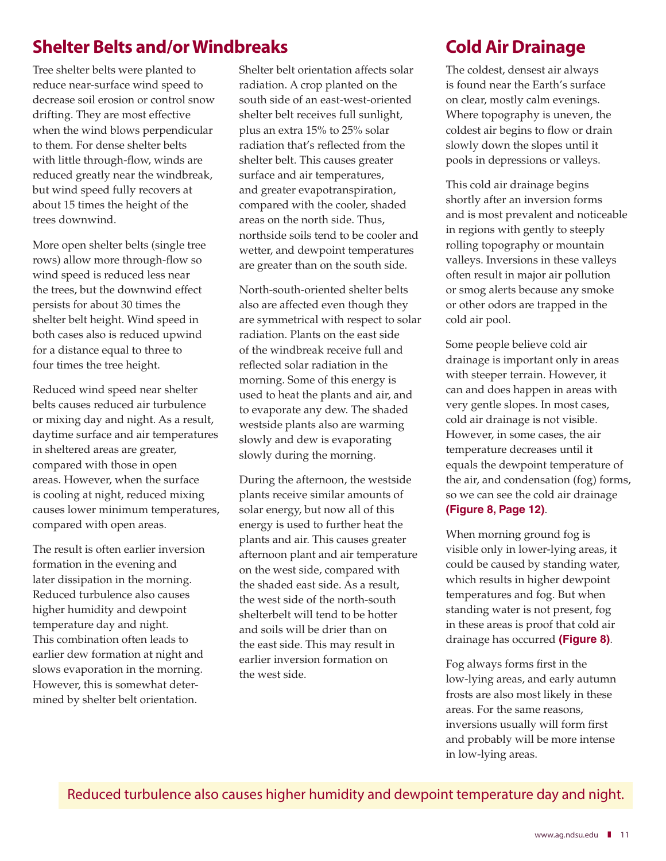### Shelter Belts and/or Windbreaks

Tree shelter belts were planted to reduce near-surface wind speed to decrease soil erosion or control snow drifting. They are most effective when the wind blows perpendicular to them. For dense shelter belts with little through-flow, winds are reduced greatly near the windbreak, but wind speed fully recovers at about 15 times the height of the trees downwind.

More open shelter belts (single tree rows) allow more through-flow so wind speed is reduced less near the trees, but the downwind effect persists for about 30 times the shelter belt height. Wind speed in both cases also is reduced upwind for a distance equal to three to four times the tree height.

Reduced wind speed near shelter belts causes reduced air turbulence or mixing day and night. As a result, daytime surface and air temperatures in sheltered areas are greater, compared with those in open areas. However, when the surface is cooling at night, reduced mixing causes lower minimum temperatures, compared with open areas.

The result is often earlier inversion formation in the evening and later dissipation in the morning. Reduced turbulence also causes higher humidity and dewpoint temperature day and night. This combination often leads to earlier dew formation at night and slows evaporation in the morning. However, this is somewhat determined by shelter belt orientation.

Shelter belt orientation affects solar radiation. A crop planted on the south side of an east-west-oriented shelter belt receives full sunlight, plus an extra 15% to 25% solar radiation that's reflected from the shelter belt. This causes greater surface and air temperatures, and greater evapotranspiration, compared with the cooler, shaded areas on the north side. Thus, northside soils tend to be cooler and wetter, and dewpoint temperatures are greater than on the south side.

North-south-oriented shelter belts also are affected even though they are symmetrical with respect to solar radiation. Plants on the east side of the windbreak receive full and reflected solar radiation in the morning. Some of this energy is used to heat the plants and air, and to evaporate any dew. The shaded westside plants also are warming slowly and dew is evaporating slowly during the morning.

During the afternoon, the westside plants receive similar amounts of solar energy, but now all of this energy is used to further heat the plants and air. This causes greater afternoon plant and air temperature on the west side, compared with the shaded east side. As a result, the west side of the north-south shelterbelt will tend to be hotter and soils will be drier than on the east side. This may result in earlier inversion formation on the west side.

### Cold Air Drainage

The coldest, densest air always is found near the Earth's surface on clear, mostly calm evenings. Where topography is uneven, the coldest air begins to flow or drain slowly down the slopes until it pools in depressions or valleys.

This cold air drainage begins shortly after an inversion forms and is most prevalent and noticeable in regions with gently to steeply rolling topography or mountain valleys. Inversions in these valleys often result in major air pollution or smog alerts because any smoke or other odors are trapped in the cold air pool.

Some people believe cold air drainage is important only in areas with steeper terrain. However, it can and does happen in areas with very gentle slopes. In most cases, cold air drainage is not visible. However, in some cases, the air temperature decreases until it equals the dewpoint temperature of the air, and condensation (fog) forms, so we can see the cold air drainage **(Figure 8, Page 12)**.

When morning ground fog is visible only in lower-lying areas, it could be caused by standing water, which results in higher dewpoint temperatures and fog. But when standing water is not present, fog in these areas is proof that cold air drainage has occurred **(Figure 8)**.

Fog always forms first in the low-lying areas, and early autumn frosts are also most likely in these areas. For the same reasons, inversions usually will form first and probably will be more intense in low-lying areas.

Reduced turbulence also causes higher humidity and dewpoint temperature day and night.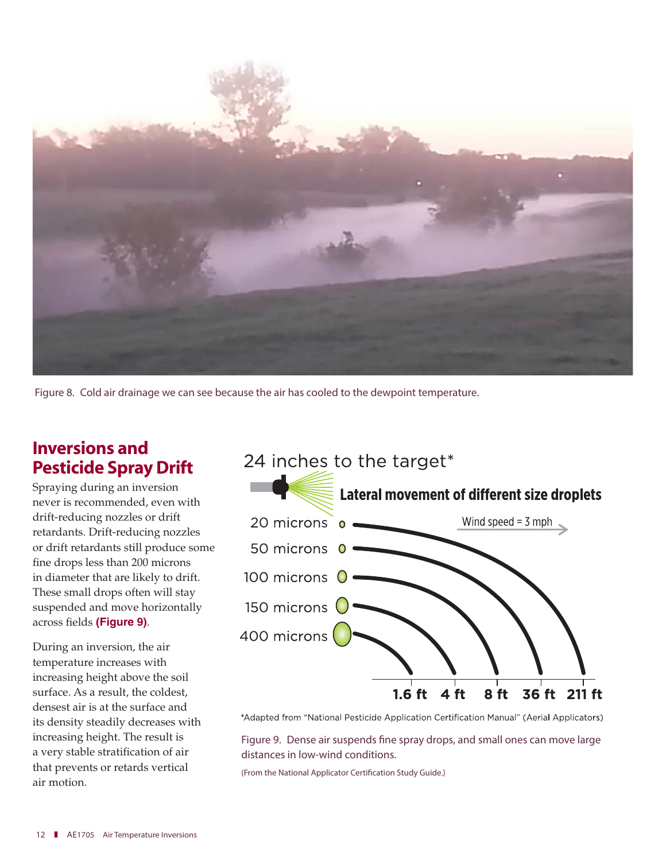

Figure 8. Cold air drainage we can see because the air has cooled to the dewpoint temperature.

### Inversions and Pesticide Spray Drift

Spraying during an inversion never is recommended, even with drift-reducing nozzles or drift retardants. Drift-reducing nozzles or drift retardants still produce some fine drops less than 200 microns in diameter that are likely to drift. These small drops often will stay suspended and move horizontally across fields **(Figure 9)**.

During an inversion, the air temperature increases with increasing height above the soil surface. As a result, the coldest, densest air is at the surface and its density steadily decreases with increasing height. The result is a very stable stratification of air that prevents or retards vertical air motion.



\*Adapted from "National Pesticide Application Certification Manual" (Aerial Applicators)

Figure 9. Dense air suspends fine spray drops, and small ones can move large distances in low-wind conditions.

(From the National Applicator Certification Study Guide.)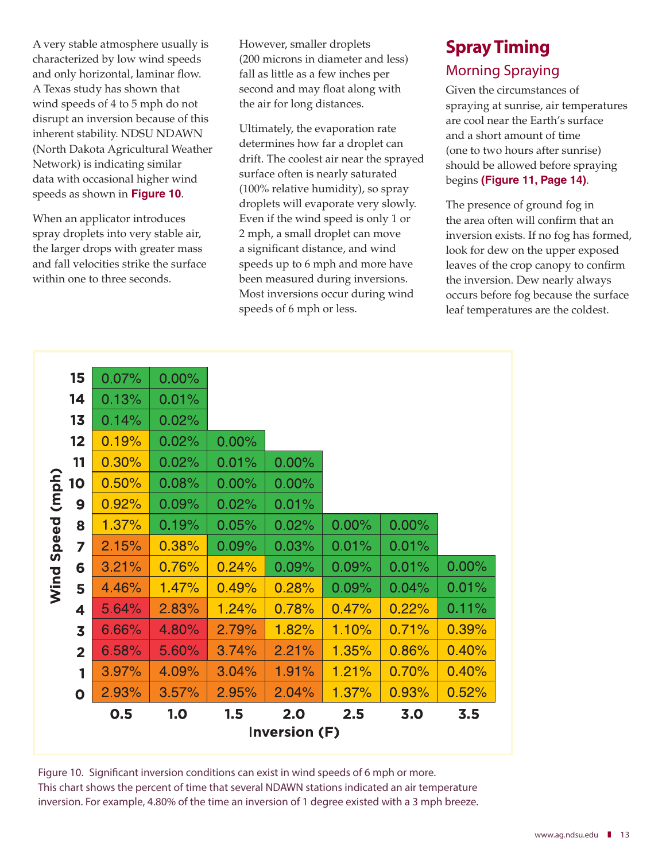A very stable atmosphere usually is characterized by low wind speeds and only horizontal, laminar flow. A Texas study has shown that wind speeds of 4 to 5 mph do not disrupt an inversion because of this inherent stability. NDSU NDAWN (North Dakota Agricultural Weather Network) is indicating similar data with occasional higher wind speeds as shown in **Figure 10**.

When an applicator introduces spray droplets into very stable air, the larger drops with greater mass and fall velocities strike the surface within one to three seconds.

However, smaller droplets (200 microns in diameter and less) fall as little as a few inches per second and may float along with the air for long distances.

Ultimately, the evaporation rate determines how far a droplet can drift. The coolest air near the sprayed surface often is nearly saturated (100% relative humidity), so spray droplets will evaporate very slowly. Even if the wind speed is only 1 or 2 mph, a small droplet can move a significant distance, and wind speeds up to 6 mph and more have been measured during inversions. Most inversions occur during wind speeds of 6 mph or less.

### Spray Timing Morning Spraying

Given the circumstances of spraying at sunrise, air temperatures are cool near the Earth's surface and a short amount of time (one to two hours after sunrise) should be allowed before spraying begins **(Figure 11, Page 14)**.

The presence of ground fog in the area often will confirm that an inversion exists. If no fog has formed, look for dew on the upper exposed leaves of the crop canopy to confirm the inversion. Dew nearly always occurs before fog because the surface leaf temperatures are the coldest.

|       | 15                      | 0.07% | $0.00\%$ |       |       |          |       |          |
|-------|-------------------------|-------|----------|-------|-------|----------|-------|----------|
|       | 14                      | 0.13% | 0.01%    |       |       |          |       |          |
|       | 13                      | 0.14% | 0.02%    |       |       |          |       |          |
|       | 12                      | 0.19% | 0.02%    | 0.00% |       |          |       |          |
|       | 11                      | 0.30% | 0.02%    | 0.01% | 0.00% |          |       |          |
| (mph) | 10                      | 0.50% | 0.08%    | 0.00% | 0.00% |          |       |          |
|       | 9                       | 0.92% | 0.09%    | 0.02% | 0.01% |          |       |          |
|       | 8                       | 1.37% | 0.19%    | 0.05% | 0.02% | $0.00\%$ | 0.00% |          |
| Speed | 7                       | 2.15% | 0.38%    | 0.09% | 0.03% | 0.01%    | 0.01% |          |
|       | 6                       | 3.21% | 0.76%    | 0.24% | 0.09% | 0.09%    | 0.01% | $0.00\%$ |
| Wind  | 5                       | 4.46% | 1.47%    | 0.49% | 0.28% | 0.09%    | 0.04% | 0.01%    |
|       | 4                       | 5.64% | 2.83%    | 1.24% | 0.78% | 0.47%    | 0.22% | 0.11%    |
|       | $\overline{\mathbf{3}}$ | 6.66% | 4.80%    | 2.79% | 1.82% | 1.10%    | 0.71% | 0.39%    |
|       | $\overline{2}$          | 6.58% | 5.60%    | 3.74% | 2.21% | 1.35%    | 0.86% | 0.40%    |
|       | 1                       | 3.97% | 4.09%    | 3.04% | 1.91% | 1.21%    | 0.70% | 0.40%    |
|       | $\mathbf{o}$            | 2.93% | 3.57%    | 2.95% | 2.04% | 1.37%    | 0.93% | 0.52%    |
|       |                         | 0.5   | 1.0      | 1.5   | 2.0   | 2.5      | 3.0   | 3.5      |
|       | <b>Inversion (F)</b>    |       |          |       |       |          |       |          |

Figure 10. Significant inversion conditions can exist in wind speeds of 6 mph or more. This chart shows the percent of time that several NDAWN stations indicated an air temperature inversion. For example, 4.80% of the time an inversion of 1 degree existed with a 3 mph breeze.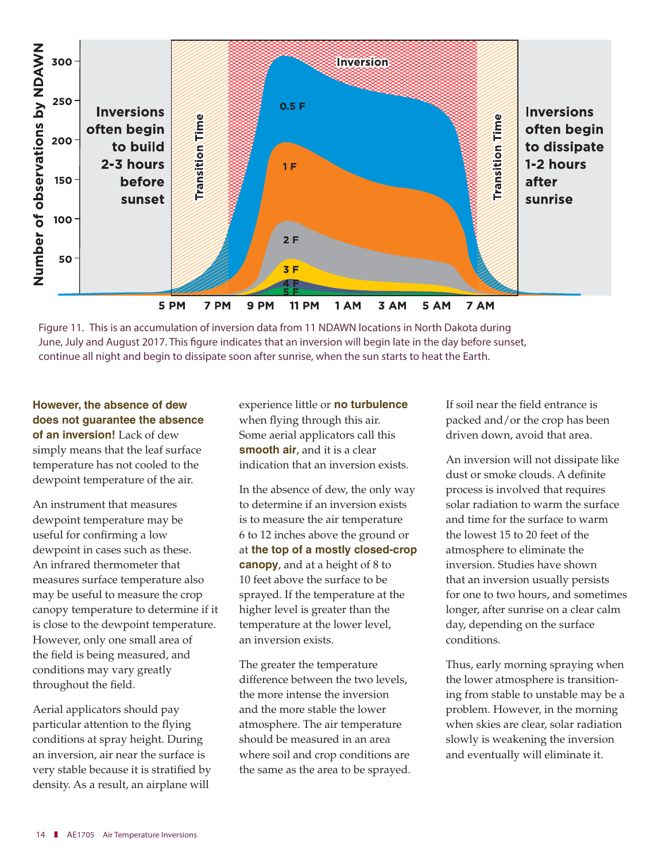

Figure 11. This is an accumulation of inversion data from 11 NDAWN locations in North Dakota during June, July and August 2017. This figure indicates that an inversion will begin late in the day before sunset, continue all night and begin to dissipate soon after sunrise, when the sun starts to heat the Earth.

**However, the absence of dew does not guarantee the absence of an inversion!** Lack of dew simply means that the leaf surface temperature has not cooled to the dewpoint temperature of the air.

An instrument that measures dewpoint temperature may be useful for confirming a low dewpoint in cases such as these. An infrared thermometer that measures surface temperature also may be useful to measure the crop canopy temperature to determine if it is close to the dewpoint temperature. However, only one small area of the field is being measured, and conditions may vary greatly throughout the field.

Aerial applicators should pay particular attention to the flying conditions at spray height. During an inversion, air near the surface is very stable because it is stratified by density. As a result, an airplane will

experience little or **no turbulence**  when flying through this air. Some aerial applicators call this **smooth air**, and it is a clear indication that an inversion exists.

In the absence of dew, the only way to determine if an inversion exists is to measure the air temperature 6 to 12 inches above the ground or at **the top of a mostly closed-crop canopy**, and at a height of 8 to 10 feet above the surface to be sprayed. If the temperature at the higher level is greater than the temperature at the lower level, an inversion exists.

The greater the temperature difference between the two levels, the more intense the inversion and the more stable the lower atmosphere. The air temperature should be measured in an area where soil and crop conditions are the same as the area to be sprayed. If soil near the field entrance is packed and/or the crop has been driven down, avoid that area.

An inversion will not dissipate like dust or smoke clouds. A definite process is involved that requires solar radiation to warm the surface and time for the surface to warm the lowest 15 to 20 feet of the atmosphere to eliminate the inversion. Studies have shown that an inversion usually persists for one to two hours, and sometimes longer, after sunrise on a clear calm day, depending on the surface conditions.

Thus, early morning spraying when the lower atmosphere is transitioning from stable to unstable may be a problem. However, in the morning when skies are clear, solar radiation slowly is weakening the inversion and eventually will eliminate it.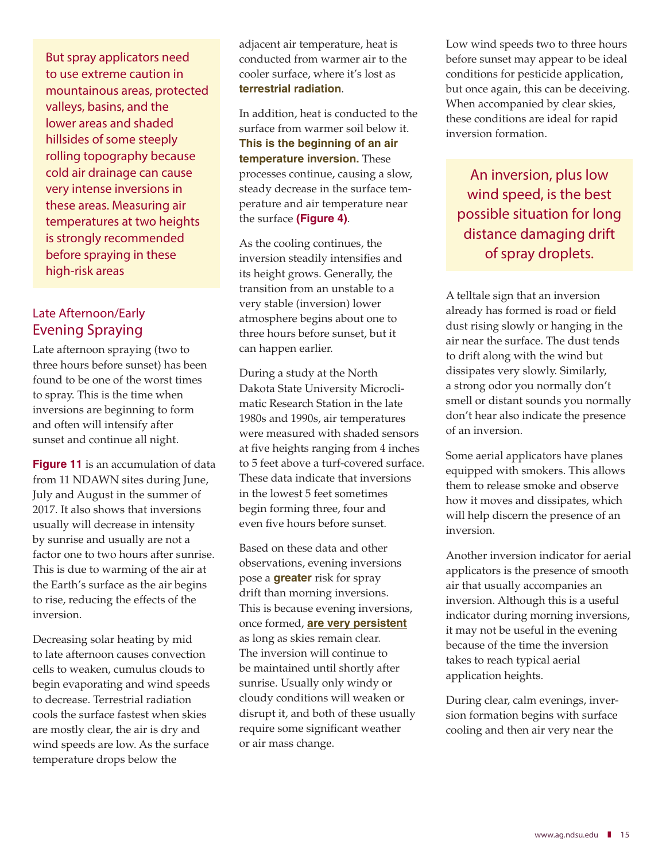But spray applicators need to use extreme caution in mountainous areas, protected valleys, basins, and the lower areas and shaded hillsides of some steeply rolling topography because cold air drainage can cause very intense inversions in these areas. Measuring air temperatures at two heights is strongly recommended before spraying in these high-risk areas

#### Late Afternoon/Early Evening Spraying

Late afternoon spraying (two to three hours before sunset) has been found to be one of the worst times to spray. This is the time when inversions are beginning to form and often will intensify after sunset and continue all night.

**Figure 11** is an accumulation of data from 11 NDAWN sites during June, July and August in the summer of 2017. It also shows that inversions usually will decrease in intensity by sunrise and usually are not a factor one to two hours after sunrise. This is due to warming of the air at the Earth's surface as the air begins to rise, reducing the effects of the inversion.

Decreasing solar heating by mid to late afternoon causes convection cells to weaken, cumulus clouds to begin evaporating and wind speeds to decrease. Terrestrial radiation cools the surface fastest when skies are mostly clear, the air is dry and wind speeds are low. As the surface temperature drops below the

adjacent air temperature, heat is conducted from warmer air to the cooler surface, where it's lost as **terrestrial radiation**.

In addition, heat is conducted to the surface from warmer soil below it. **This is the beginning of an air temperature inversion.** These processes continue, causing a slow, steady decrease in the surface temperature and air temperature near the surface **(Figure 4)**.

As the cooling continues, the inversion steadily intensifies and its height grows. Generally, the transition from an unstable to a very stable (inversion) lower atmosphere begins about one to three hours before sunset, but it can happen earlier.

During a study at the North Dakota State University Microclimatic Research Station in the late 1980s and 1990s, air temperatures were measured with shaded sensors at five heights ranging from 4 inches to 5 feet above a turf-covered surface. These data indicate that inversions in the lowest 5 feet sometimes begin forming three, four and even five hours before sunset.

Based on these data and other observations, evening inversions pose a **greater** risk for spray drift than morning inversions. This is because evening inversions, once formed, **are very persistent**  as long as skies remain clear. The inversion will continue to be maintained until shortly after sunrise. Usually only windy or cloudy conditions will weaken or disrupt it, and both of these usually require some significant weather or air mass change.

Low wind speeds two to three hours before sunset may appear to be ideal conditions for pesticide application, but once again, this can be deceiving. When accompanied by clear skies, these conditions are ideal for rapid inversion formation.

An inversion, plus low wind speed, is the best possible situation for long distance damaging drift of spray droplets.

A telltale sign that an inversion already has formed is road or field dust rising slowly or hanging in the air near the surface. The dust tends to drift along with the wind but dissipates very slowly. Similarly, a strong odor you normally don't smell or distant sounds you normally don't hear also indicate the presence of an inversion.

Some aerial applicators have planes equipped with smokers. This allows them to release smoke and observe how it moves and dissipates, which will help discern the presence of an inversion.

Another inversion indicator for aerial applicators is the presence of smooth air that usually accompanies an inversion. Although this is a useful indicator during morning inversions, it may not be useful in the evening because of the time the inversion takes to reach typical aerial application heights.

During clear, calm evenings, inversion formation begins with surface cooling and then air very near the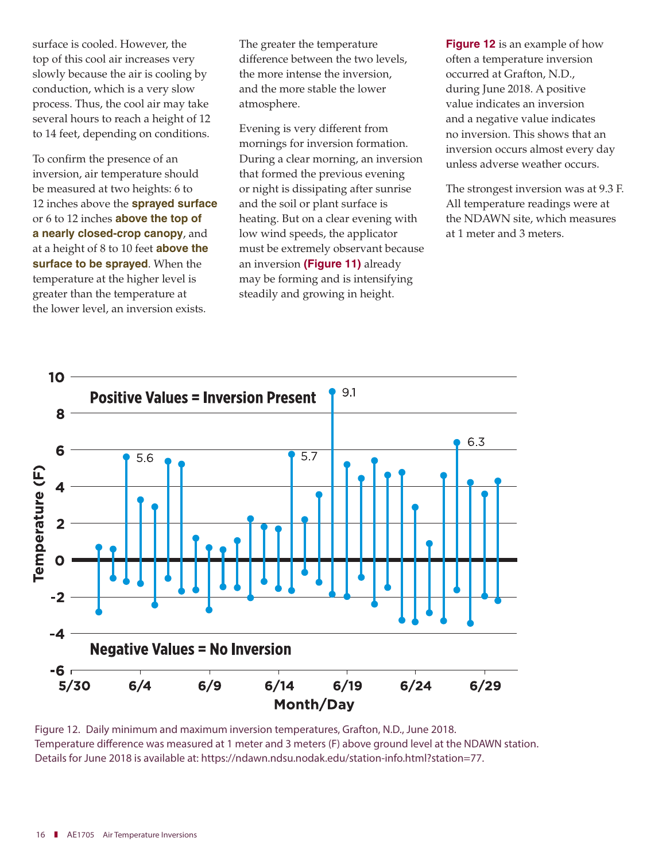surface is cooled. However, the top of this cool air increases very slowly because the air is cooling by conduction, which is a very slow process. Thus, the cool air may take several hours to reach a height of 12 to 14 feet, depending on conditions.

To confirm the presence of an inversion, air temperature should be measured at two heights: 6 to 12 inches above the **sprayed surface**  or 6 to 12 inches **above the top of a nearly closed-crop canopy**, and at a height of 8 to 10 feet **above the surface to be sprayed**. When the temperature at the higher level is greater than the temperature at the lower level, an inversion exists.

The greater the temperature difference between the two levels, the more intense the inversion, and the more stable the lower atmosphere.

Evening is very different from mornings for inversion formation. During a clear morning, an inversion that formed the previous evening or night is dissipating after sunrise and the soil or plant surface is heating. But on a clear evening with low wind speeds, the applicator must be extremely observant because an inversion **(Figure 11)** already may be forming and is intensifying steadily and growing in height.

**Figure 12** is an example of how often a temperature inversion occurred at Grafton, N.D., during June 2018. A positive value indicates an inversion and a negative value indicates no inversion. This shows that an inversion occurs almost every day unless adverse weather occurs.

The strongest inversion was at 9.3 F. All temperature readings were at the NDAWN site, which measures at 1 meter and 3 meters.



Figure 12. Daily minimum and maximum inversion temperatures, Grafton, N.D., June 2018. Temperature difference was measured at 1 meter and 3 meters (F) above ground level at the NDAWN station. Details for June 2018 is available at: https://ndawn.ndsu.nodak.edu/station-info.html?station=77.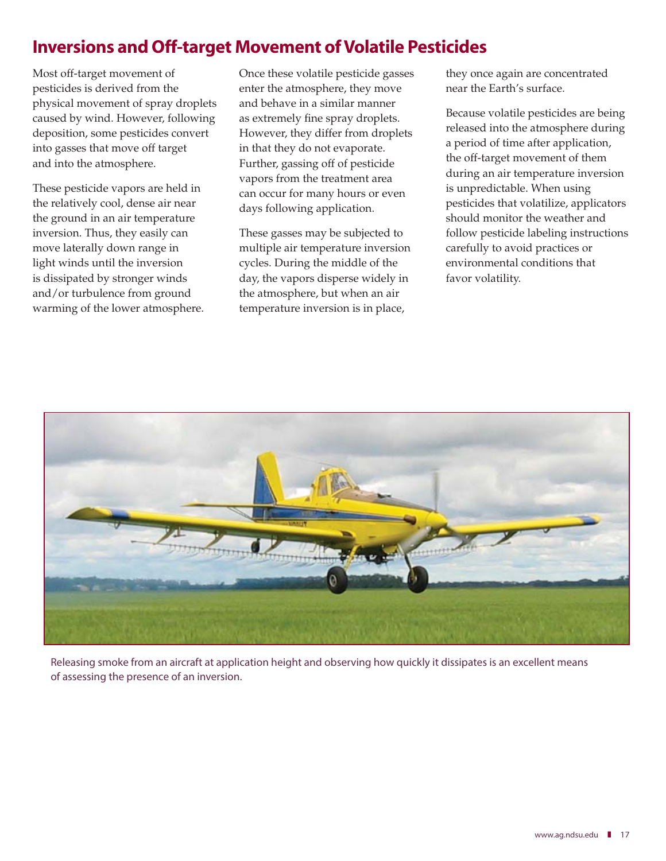### Inversions and Off-target Movement of Volatile Pesticides

Most off-target movement of pesticides is derived from the physical movement of spray droplets caused by wind. However, following deposition, some pesticides convert into gasses that move off target and into the atmosphere.

These pesticide vapors are held in the relatively cool, dense air near the ground in an air temperature inversion. Thus, they easily can move laterally down range in light winds until the inversion is dissipated by stronger winds and/or turbulence from ground warming of the lower atmosphere. Once these volatile pesticide gasses enter the atmosphere, they move and behave in a similar manner as extremely fine spray droplets. However, they differ from droplets in that they do not evaporate. Further, gassing off of pesticide vapors from the treatment area can occur for many hours or even days following application.

These gasses may be subjected to multiple air temperature inversion cycles. During the middle of the day, the vapors disperse widely in the atmosphere, but when an air temperature inversion is in place,

they once again are concentrated near the Earth's surface.

Because volatile pesticides are being released into the atmosphere during a period of time after application, the off-target movement of them during an air temperature inversion is unpredictable. When using pesticides that volatilize, applicators should monitor the weather and follow pesticide labeling instructions carefully to avoid practices or environmental conditions that favor volatility.



Releasing smoke from an aircraft at application height and observing how quickly it dissipates is an excellent means of assessing the presence of an inversion.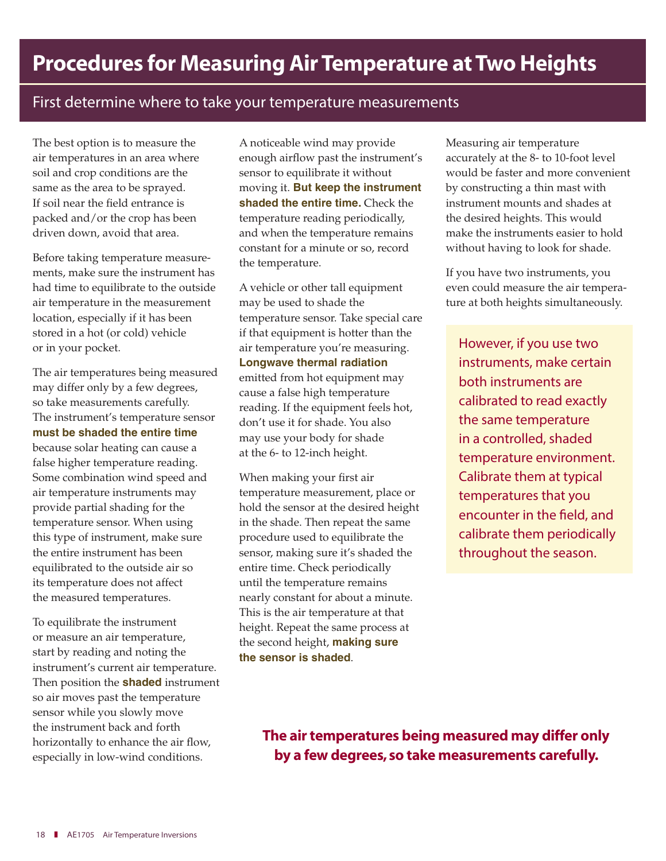### First determine where to take your temperature measurements

The best option is to measure the air temperatures in an area where soil and crop conditions are the same as the area to be sprayed. If soil near the field entrance is packed and/or the crop has been driven down, avoid that area.

Before taking temperature measurements, make sure the instrument has had time to equilibrate to the outside air temperature in the measurement location, especially if it has been stored in a hot (or cold) vehicle or in your pocket.

The air temperatures being measured may differ only by a few degrees, so take measurements carefully. The instrument's temperature sensor **must be shaded the entire time**  because solar heating can cause a false higher temperature reading. Some combination wind speed and air temperature instruments may provide partial shading for the temperature sensor. When using this type of instrument, make sure the entire instrument has been equilibrated to the outside air so its temperature does not affect the measured temperatures.

To equilibrate the instrument or measure an air temperature, start by reading and noting the instrument's current air temperature. Then position the **shaded** instrument so air moves past the temperature sensor while you slowly move the instrument back and forth horizontally to enhance the air flow, especially in low-wind conditions.

A noticeable wind may provide enough airflow past the instrument's sensor to equilibrate it without moving it. **But keep the instrument shaded the entire time.** Check the temperature reading periodically, and when the temperature remains constant for a minute or so, record the temperature.

A vehicle or other tall equipment may be used to shade the temperature sensor. Take special care if that equipment is hotter than the air temperature you're measuring. **Longwave thermal radiation**  emitted from hot equipment may cause a false high temperature reading. If the equipment feels hot, don't use it for shade. You also may use your body for shade at the 6- to 12-inch height.

When making your first air temperature measurement, place or hold the sensor at the desired height in the shade. Then repeat the same procedure used to equilibrate the sensor, making sure it's shaded the entire time. Check periodically until the temperature remains nearly constant for about a minute. This is the air temperature at that height. Repeat the same process at the second height, **making sure the sensor is shaded**.

Measuring air temperature accurately at the 8- to 10-foot level would be faster and more convenient by constructing a thin mast with instrument mounts and shades at the desired heights. This would make the instruments easier to hold without having to look for shade.

If you have two instruments, you even could measure the air temperature at both heights simultaneously.

However, if you use two instruments, make certain both instruments are calibrated to read exactly the same temperature in a controlled, shaded temperature environment. Calibrate them at typical temperatures that you encounter in the field, and calibrate them periodically throughout the season.

The air temperatures being measured may differ only by a few degrees, so take measurements carefully.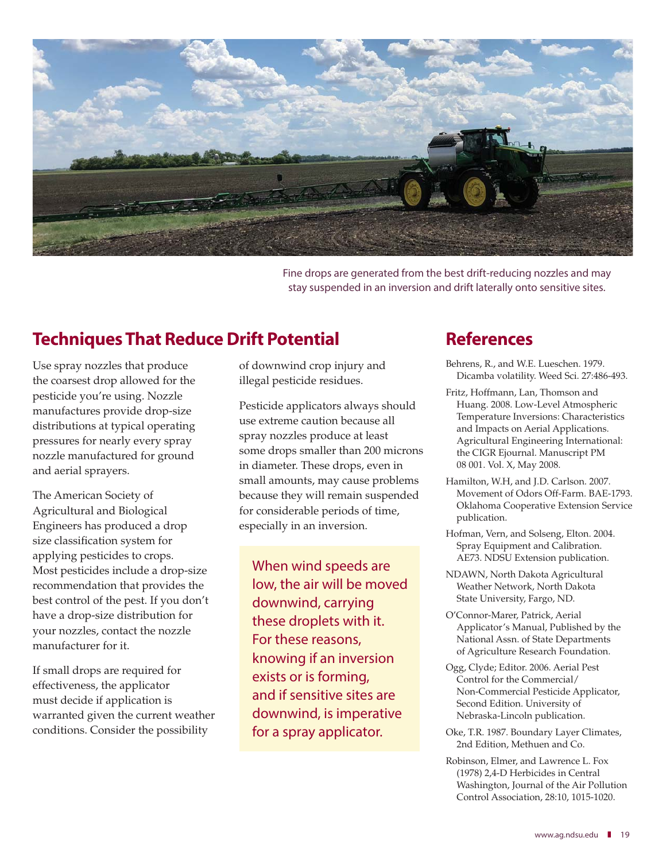

Fine drops are generated from the best drift-reducing nozzles and may stay suspended in an inversion and drift laterally onto sensitive sites.

### Techniques That Reduce Drift Potential

Use spray nozzles that produce the coarsest drop allowed for the pesticide you're using. Nozzle manufactures provide drop-size distributions at typical operating pressures for nearly every spray nozzle manufactured for ground and aerial sprayers.

The American Society of Agricultural and Biological Engineers has produced a drop size classification system for applying pesticides to crops. Most pesticides include a drop-size recommendation that provides the best control of the pest. If you don't have a drop-size distribution for your nozzles, contact the nozzle manufacturer for it.

If small drops are required for effectiveness, the applicator must decide if application is warranted given the current weather conditions. Consider the possibility

of downwind crop injury and illegal pesticide residues.

Pesticide applicators always should use extreme caution because all spray nozzles produce at least some drops smaller than 200 microns in diameter. These drops, even in small amounts, may cause problems because they will remain suspended for considerable periods of time, especially in an inversion.

When wind speeds are low, the air will be moved downwind, carrying these droplets with it. For these reasons, knowing if an inversion exists or is forming, and if sensitive sites are downwind, is imperative for a spray applicator.

### References

- Behrens, R., and W.E. Lueschen. 1979. Dicamba volatility. Weed Sci. 27:486-493.
- Fritz, Hoffmann, Lan, Thomson and Huang. 2008. Low-Level Atmospheric Temperature Inversions: Characteristics and Impacts on Aerial Applications. Agricultural Engineering International: the CIGR Ejournal. Manuscript PM 08 001. Vol. X, May 2008.
- Hamilton, W.H, and J.D. Carlson. 2007. Movement of Odors Off-Farm. BAE-1793. Oklahoma Cooperative Extension Service publication.
- Hofman, Vern, and Solseng, Elton. 2004. Spray Equipment and Calibration. AE73. NDSU Extension publication.
- NDAWN, North Dakota Agricultural Weather Network, North Dakota State University, Fargo, ND.
- O'Connor-Marer, Patrick, Aerial Applicator's Manual, Published by the National Assn. of State Departments of Agriculture Research Foundation.
- Ogg, Clyde; Editor. 2006. Aerial Pest Control for the Commercial/ Non-Commercial Pesticide Applicator, Second Edition. University of Nebraska-Lincoln publication.
- Oke, T.R. 1987. Boundary Layer Climates, 2nd Edition, Methuen and Co.
- Robinson, Elmer, and Lawrence L. Fox (1978) 2,4-D Herbicides in Central Washington, Journal of the Air Pollution Control Association, 28:10, 1015-1020.